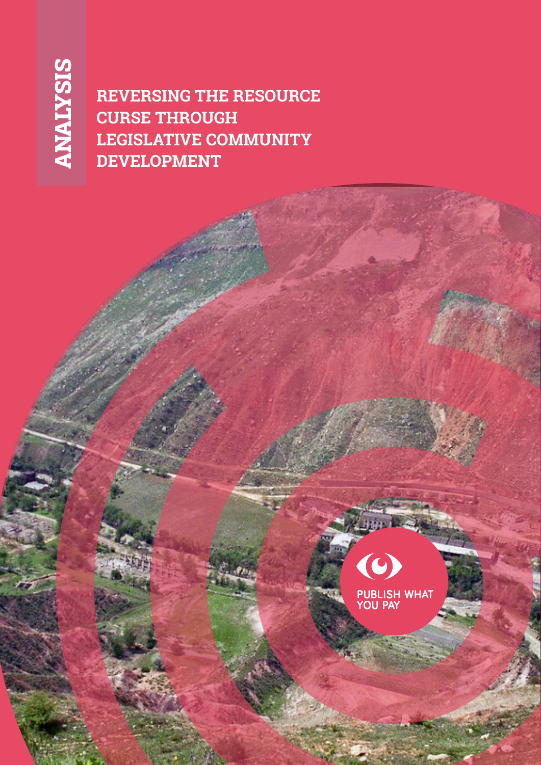**REVERSING THE RESOURCE CURSE THROUGH LEGISLATIVE COMMUNITY DEVELOPMENT**



**PUBLISH WHAT**<br>YOU PAY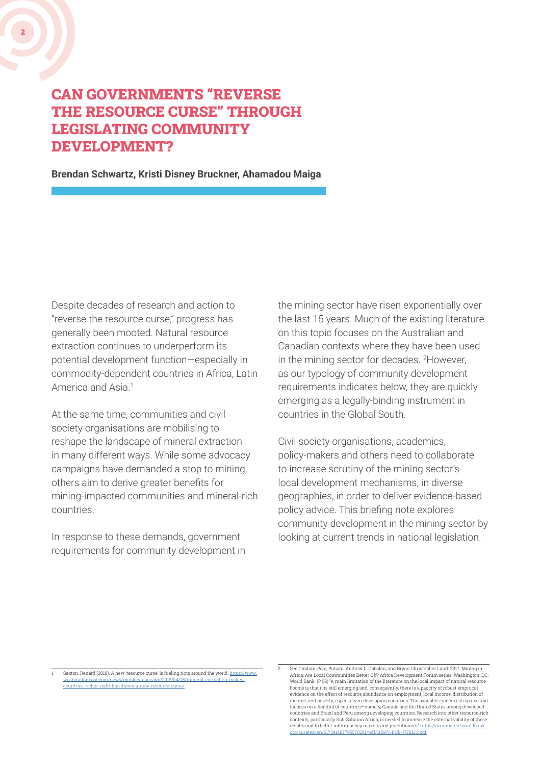# CAN GOVERNMENTS "REVERSE THE RESOURCE CURSE" THROUGH LEGISLATING COMMUNITY

DEVELOPMENT?

2

**Brendan Schwartz, Kristi Disney Bruckner, Ahamadou Maiga**

Despite decades of research and action to "reverse the resource curse," progress has generally been mooted. Natural resource extraction continues to underperform its potential development function—especially in commodity-dependent countries in Africa, Latin America and Asia.<sup>1</sup>

At the same time, communities and civil society organisations are mobilising to reshape the landscape of mineral extraction in many different ways. While some advocacy campaigns have demanded a stop to mining, others aim to derive greater benefits for mining-impacted communities and mineral-rich countries.

In response to these demands, government requirements for community development in the mining sector have risen exponentially over the last 15 years. Much of the existing literature on this topic focuses on the Australian and Canadian contexts where they have been used in the mining sector for decades. 2 However, as our typology of community development requirements indicates below, they are quickly emerging as a legally-binding instrument in countries in the Global South.

Civil society organisations, academics, policy-makers and others need to collaborate to increase scrutiny of the mining sector's local development mechanisms, in diverse geographies, in order to deliver evidence-based policy advice. This briefing note explores community development in the mining sector by looking at current trends in national legislation.

Sexton, Renard (2018). A new 'resource curse' is fueling riots around the world. https://w [washingtonpost.com/news/monkey-cage/wp/2018/04/25/mineral-extraction-makes](https://www.washingtonpost.com/news/monkey-cage/wp/2018/04/25/mineral-extraction-makes-countries-richer-right-but-theres-a-new-resource-curse/)countries-richer-right-but-theres-a-new

<sup>2</sup> See Chuhan-Pole, Punam, Andrew L. Dabalen, and Bryan Christopher Land. 2017. Mining in Africa: Are Local Communities Better Off? Africa Development Forum series. Washington, DC: World Bank. (P 56) "A main limitation of the literature on the local impact of natural resource booms is that it is still emerging and, consequently, there is a paucity of robust empirical evidence on the effect of resource abundance on employment, local income, distribution of income, and poverty, especially in developing countries. The available evidence is sparse and focuses on a handful of countries—namely, Canada and the United States among developed countries and Brazil and Peru among developing countries. Research into other resource-rich contexts, particularly Sub-Saharan Africa, is needed to increase the external validity of these results and to better inform policy makers and practitioners." http [org/curated/en/517391487795570281/pdf/112971-PUB-PUBLIC.pdf](https://documents1.worldbank.org/curated/en/517391487795570281/pdf/112971-PUB-PUBLIC.pdf)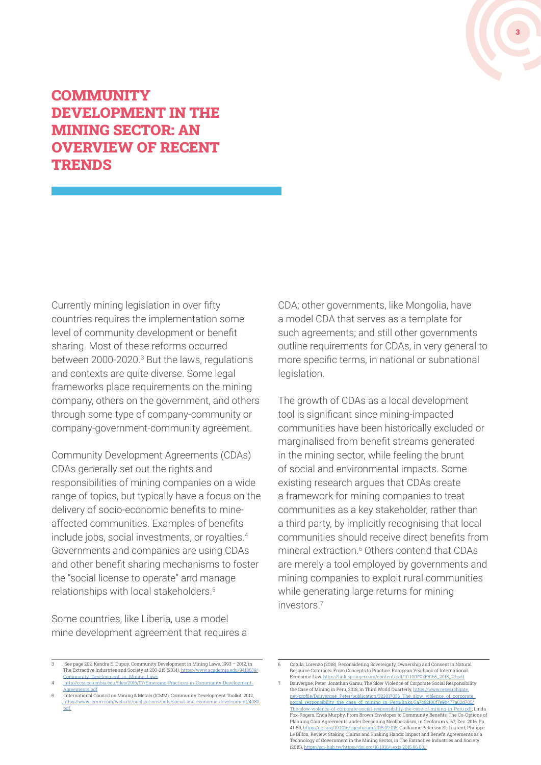

## **COMMUNITY** DEVELOPMENT IN THE MINING SECTOR: AN OVERVIEW OF RECENT **TRENDS**

Currently mining legislation in over fifty countries requires the implementation some level of community development or benefit sharing. Most of these reforms occurred between 2000-2020.<sup>3</sup> But the laws, regulations and contexts are quite diverse. Some legal frameworks place requirements on the mining company, others on the government, and others through some type of company-community or company-government-community agreement.

Community Development Agreements (CDAs) CDAs generally set out the rights and responsibilities of mining companies on a wide range of topics, but typically have a focus on the delivery of socio-economic benefits to mineaffected communities. Examples of benefits include jobs, social investments, or royalties.<sup>4</sup> Governments and companies are using CDAs and other benefit sharing mechanisms to foster the "social license to operate" and manage relationships with local stakeholders.<sup>5</sup>

Some countries, like Liberia, use a model mine development agreement that requires a CDA; other governments, like Mongolia, have a model CDA that serves as a template for such agreements; and still other governments outline requirements for CDAs, in very general to more specific terms, in national or subnational legislation.

The growth of CDAs as a local development tool is significant since mining-impacted communities have been historically excluded or marginalised from benefit streams generated in the mining sector, while feeling the brunt of social and environmental impacts. Some existing research argues that CDAs create a framework for mining companies to treat communities as a key stakeholder, rather than a third party, by implicitly recognising that local communities should receive direct benefits from mineral extraction.<sup>6</sup> Others contend that CDAs are merely a tool employed by governments and mining companies to exploit rural communities while generating large returns for mining investors.7

6 Cotula, Lorenzo (2018). Reconsidering Sovereignty, Ownership and Consent in Natural Resource Contracts: From Concepts to Practice. European Yearbook of International Economic Law. [https://link.springer.com/content/pdf/10.1007%2F8165\\_2018\\_23.pdf](https://link.springer.com/content/pdf/10.1007%2F8165_2018_23.pdf)

<sup>3</sup> See page 202, Kendra E. Dupuy, Community Development in Mining Laws, 1993 – 2012, in The Extractive Industries and Society at 200-215 (2014)[, https://www.academia.edu/9418639/](https://www.academia.edu/9418639/Community_Development_in_Mining_Laws) [Community\\_Development\\_in\\_Mining\\_Laws](https://www.academia.edu/9418639/Community_Development_in_Mining_Laws)

ecsi.columbia.edu/files/2016/07/Eme [Agreements.pdf](http://ccsi.columbia.edu/files/2016/07/Emerging-Practices-in-Community-Development-Agreements.pdf)

<sup>5</sup> International Council on Mining & Metals (ICMM), Community Development Toolkit, 2012, [https://www.icmm.com/website/publications/pdfs/social-and-economic-development/4080.](https://www.icmm.com/website/publications/pdfs/social-performance/2012/guidance_community-development-toolkit.pdf) [pdf.](https://www.icmm.com/website/publications/pdfs/social-performance/2012/guidance_community-development-toolkit.pdf)

<sup>7</sup> Dauvergne, Peter, Jonathan Gamu, The Slow Violence of Corporate Social Responsibility: the Case of Mining in Peru, 2018, in Third World Quarterly, [https://www.researchgate.](https://www.researchgate.net/profile/Dauvergne-Peter/publication/323017036_The_slow_violence_of_corporate_social_responsibility_the_case_of_mining_in_Peru/links/5a7c82f00f7e9b477a02d705/The-slow-violence-of-corporate-social-responsibility-the-case-of-mining-in-Peru.pdf) [net/profile/Dauvergne\\_Peter/publication/323017036\\_The\\_slow\\_violence\\_of\\_corporate\\_](https://www.researchgate.net/profile/Dauvergne-Peter/publication/323017036_The_slow_violence_of_corporate_social_responsibility_the_case_of_mining_in_Peru/links/5a7c82f00f7e9b477a02d705/The-slow-violence-of-corporate-social-responsibility-the-case-of-mining-in-Peru.pdf) [social\\_responsibility\\_the\\_case\\_of\\_mining\\_in\\_Peru/links/5a7c82f00f7e9b477a02d705/](https://www.researchgate.net/profile/Dauvergne-Peter/publication/323017036_The_slow_violence_of_corporate_social_responsibility_the_case_of_mining_in_Peru/links/5a7c82f00f7e9b477a02d705/The-slow-violence-of-corporate-social-responsibility-the-case-of-mining-in-Peru.pdf) [The-slow-violence-of-corporate-social-responsibility-the-case-of-mining-in-Peru.pdf](https://www.researchgate.net/profile/Dauvergne-Peter/publication/323017036_The_slow_violence_of_corporate_social_responsibility_the_case_of_mining_in_Peru/links/5a7c82f00f7e9b477a02d705/The-slow-violence-of-corporate-social-responsibility-the-case-of-mining-in-Peru.pdf); Linda Fox-Rogers, Enda Murphy, From Brown Envelopes to Community Benefits: The Co-Options of Planning Gain Agreements under Deepening Neoliberalism, in Geoforum v. 67, Dec. 2015, Pp 41-50, [https://doi.org/10.1016/j.geoforum.2015.09.015;](https://doi.org/10.1016/j.geoforum.2015.09.015) Guillaume Peterson St-Laurent, Philippe Le Billon, Review: Staking Claims and Shaking Hands: Impact and Benefit Agreements as a Technology of Government in the Mining Sector, in The Extractive Industries and Society (2015), [https://sci-hub.tw/https://doi.org/10.1016/j.exis.2015.06.001.](http://ww25.sci-hub.tw/https:/doi.org/10.1016/j.exis.2015.06.001?subid1=20211008-0107-098d-b883-b793f92ede2c)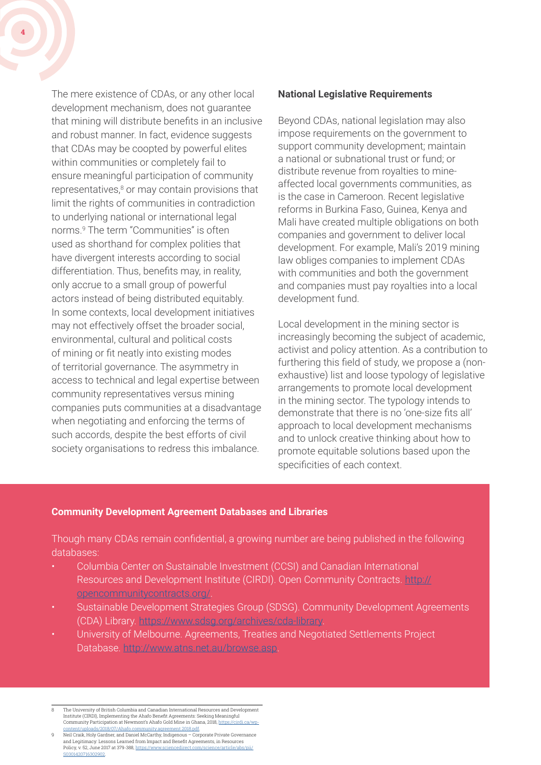The mere existence of CDAs, or any other local development mechanism, does not guarantee that mining will distribute benefits in an inclusive and robust manner. In fact, evidence suggests that CDAs may be coopted by powerful elites within communities or completely fail to ensure meaningful participation of community representatives,<sup>8</sup> or may contain provisions that limit the rights of communities in contradiction to underlying national or international legal norms.9 The term "Communities" is often used as shorthand for complex polities that have divergent interests according to social differentiation. Thus, benefits may, in reality, only accrue to a small group of powerful actors instead of being distributed equitably. In some contexts, local development initiatives may not effectively offset the broader social, environmental, cultural and political costs of mining or fit neatly into existing modes of territorial governance. The asymmetry in access to technical and legal expertise between community representatives versus mining companies puts communities at a disadvantage when negotiating and enforcing the terms of such accords, despite the best efforts of civil society organisations to redress this imbalance.

#### **National Legislative Requirements**

Beyond CDAs, national legislation may also impose requirements on the government to support community development; maintain a national or subnational trust or fund; or distribute revenue from royalties to mineaffected local governments communities, as is the case in Cameroon. Recent legislative reforms in Burkina Faso, Guinea, Kenya and Mali have created multiple obligations on both companies and government to deliver local development. For example, Mali's 2019 mining law obliges companies to implement CDAs with communities and both the government and companies must pay royalties into a local development fund.

Local development in the mining sector is increasingly becoming the subject of academic, activist and policy attention. As a contribution to furthering this field of study, we propose a (nonexhaustive) list and loose typology of legislative arrangements to promote local development in the mining sector. The typology intends to demonstrate that there is no 'one-size fits all' approach to local development mechanisms and to unlock creative thinking about how to promote equitable solutions based upon the specificities of each context.

#### **Community Development Agreement Databases and Libraries**

Though many CDAs remain confidential, a growing number are being published in the following databases:

- Columbia Center on Sustainable Investment (CCSI) and Canadian International Resources and Development Institute (CIRDI). Open Community Contracts. [http://](https://opencommunitycontracts.org/) [opencommunitycontracts.org/.](https://opencommunitycontracts.org/)
- Sustainable Development Strategies Group (SDSG). Community Development Agreements (CDA) Library. [https://www.sdsg.org/archives/cda-library.](https://www.sdsg.org/archives/cda-library)
- University of Melbourne. Agreements, Treaties and Negotiated Settlements Project Database. <http://www.atns.net.au/browse.asp>.

<sup>8</sup> The University of British Columbia and Canadian International Resources and Development Institute (CIRDI), Implementing the Ahafo Benefit Agreements: Seeking Meaningful<br>Community Participation at Newmont's Ahafo Gold Mine in Ghana, 2018, <u>https://cirdi.ca/wp-</u> [content/uploads/2018/07/Ahafo.community.agreement.2018.pdf](https://cirdi.ca/wp-content/uploads/2018/07/Ahafo.community.agreement.2018.pdf).

<sup>9</sup> Neil Craik, Holy Gardner, and Daniel McCarthy, Indigenous – Corporate Private Governance and Legitimacy: Lessons Learned from Impact and Benefit Agreements, in Resources<br>Policy, v. 52, June 2017 at 379-388, <u>https://www.sciencedirect.com/science/article/abs/pii</u>/ S16200000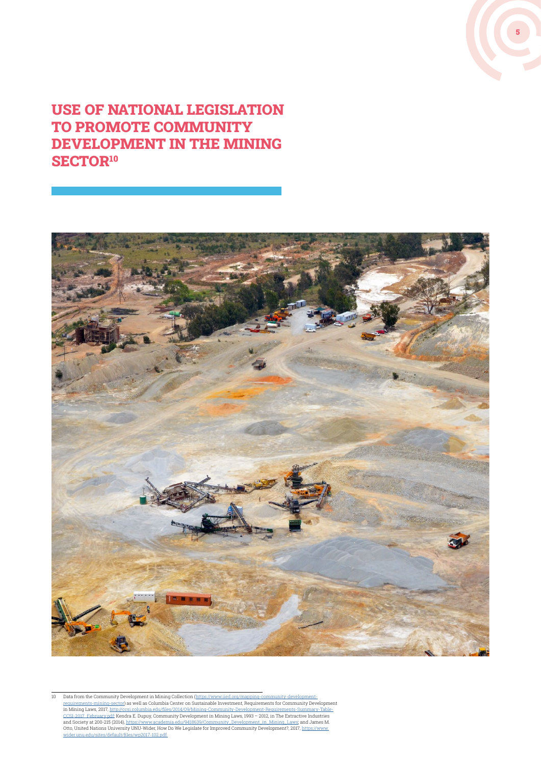

## USE OF NATIONAL LEGISLATION TO PROMOTE COMMUNITY DEVELOPMENT IN THE MINING SECTOR<sup>10</sup>



10 Data from the Community Development in Mining Collection [\(https://www.iied.org/mapping-community-development-](https://www.iied.org/mapping-community-development-requirements-mining-sector)<u>requirements-mining-sector</u>) as well as Columbia Center on Sustainable Investment, Requirements for Community Development<br>in Mining Laws, 2017, <u>http://ccsi.columbia.edu/files/2014/09/Mining-Community-Development-Requirem</u> <u>CCSI-2017. February pdf</u>; Kendra E. Dupuy, Community Development in Mining Laws, 1993 – 2012, in The Extractive Industries<br>and Society at 200-215 (2014), <u>https://www.academia.edu/9418639/Community\_Development\_in\_Mining\_L</u> Otto, United Nations University UNU-Wider, How Do We Legislate for Improved Community Development?, 2017, <u>https://www.</u><br><u>[wider.unu.edu/sites/default/files/wp2017-102.pdf.](https://www.wider.unu.edu/sites/default/files/wp2017-102.pdf.)</u>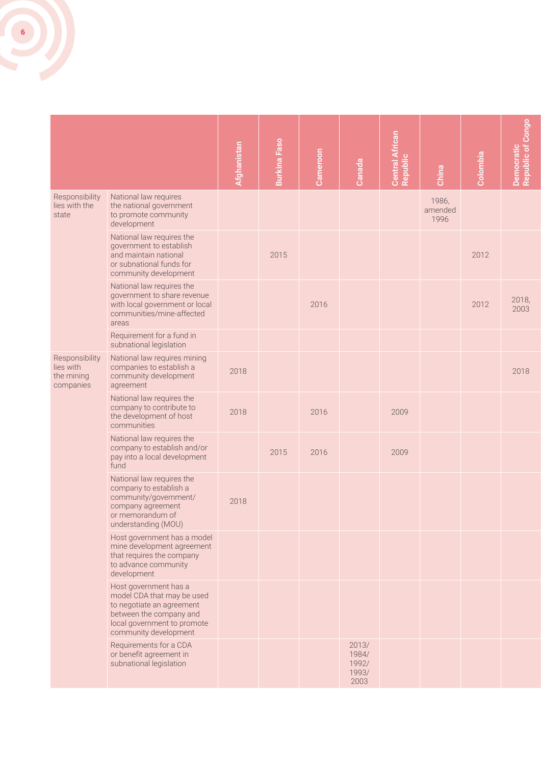

|                                                        |                                                                                                                                                                     |             | <b>Burkina Faso</b> |          |                                          | Central African<br>Republic |                          |          | Democratic<br>Republic of Congo |
|--------------------------------------------------------|---------------------------------------------------------------------------------------------------------------------------------------------------------------------|-------------|---------------------|----------|------------------------------------------|-----------------------------|--------------------------|----------|---------------------------------|
|                                                        |                                                                                                                                                                     | Afghanistan |                     | Cameroon | Canada                                   |                             | China                    | Colombia |                                 |
| Responsibility<br>lies with the<br>state               | National law requires<br>the national government<br>to promote community<br>development                                                                             |             |                     |          |                                          |                             | 1986,<br>amended<br>1996 |          |                                 |
|                                                        | National law requires the<br>government to establish<br>and maintain national<br>or subnational funds for<br>community development                                  |             | 2015                |          |                                          |                             |                          | 2012     |                                 |
|                                                        | National law requires the<br>government to share revenue<br>with local government or local<br>communities/mine-affected<br>areas                                    |             |                     | 2016     |                                          |                             |                          | 2012     | 2018,<br>2003                   |
|                                                        | Requirement for a fund in<br>subnational legislation                                                                                                                |             |                     |          |                                          |                             |                          |          |                                 |
| Responsibility<br>lies with<br>the mining<br>companies | National law requires mining<br>companies to establish a<br>community development<br>agreement                                                                      | 2018        |                     |          |                                          |                             |                          |          | 2018                            |
|                                                        | National law requires the<br>company to contribute to<br>the development of host<br>communities                                                                     | 2018        |                     | 2016     |                                          | 2009                        |                          |          |                                 |
|                                                        | National law requires the<br>company to establish and/or<br>pay into a local development<br>fund                                                                    |             | 2015                | 2016     |                                          | 2009                        |                          |          |                                 |
|                                                        | National law requires the<br>company to establish a<br>community/government/<br>company agreement<br>or memorandum of<br>understanding (MOU)                        | 2018        |                     |          |                                          |                             |                          |          |                                 |
|                                                        | Host government has a model<br>mine development agreement<br>that requires the company<br>to advance community<br>development                                       |             |                     |          |                                          |                             |                          |          |                                 |
|                                                        | Host government has a<br>model CDA that may be used<br>to negotiate an agreement<br>between the company and<br>local government to promote<br>community development |             |                     |          |                                          |                             |                          |          |                                 |
|                                                        | Requirements for a CDA<br>or benefit agreement in<br>subnational legislation                                                                                        |             |                     |          | 2013/<br>1984/<br>1992/<br>1993/<br>2003 |                             |                          |          |                                 |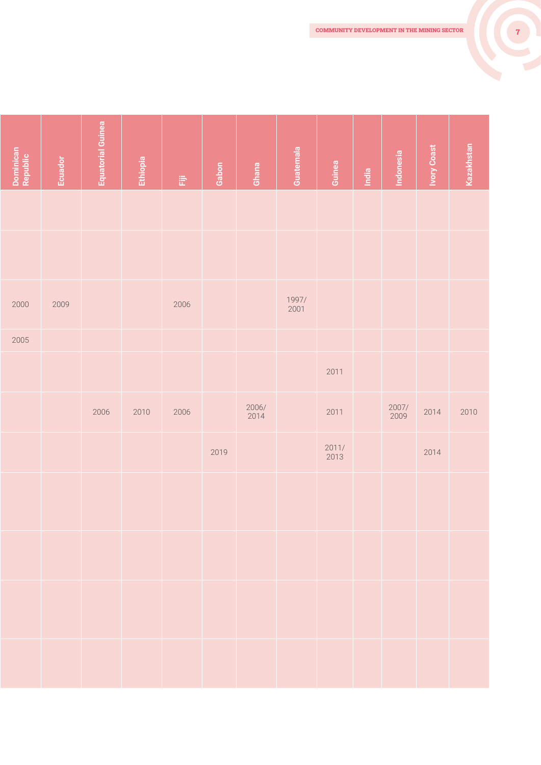| Dominican<br>Republic | <b>Ecuador</b> | <b>Equatorial Guinea</b> | Ethiopia | $\widetilde{\mathbb{H}}$ | Gabon | Ghana               | Guatemala     | Guinea              | India | Indonesia     | <b>Ivory Coast</b> | Kazakhstan |
|-----------------------|----------------|--------------------------|----------|--------------------------|-------|---------------------|---------------|---------------------|-------|---------------|--------------------|------------|
|                       |                |                          |          |                          |       |                     |               |                     |       |               |                    |            |
|                       |                |                          |          |                          |       |                     |               |                     |       |               |                    |            |
| 2000                  | 2009           |                          |          | 2006                     |       |                     | 1997/<br>2001 |                     |       |               |                    |            |
| 2005                  |                |                          |          |                          |       |                     |               |                     |       |               |                    |            |
|                       |                |                          |          |                          |       |                     |               | 2011                |       |               |                    |            |
|                       |                | 2006                     | 2010     | 2006                     |       | $\frac{2006}{2014}$ |               | 2011                |       | 2007/<br>2009 | 2014               | 2010       |
|                       |                |                          |          |                          | 2019  |                     |               | $\frac{2011}{2013}$ |       |               | 2014               |            |
|                       |                |                          |          |                          |       |                     |               |                     |       |               |                    |            |
|                       |                |                          |          |                          |       |                     |               |                     |       |               |                    |            |
|                       |                |                          |          |                          |       |                     |               |                     |       |               |                    |            |
|                       |                |                          |          |                          |       |                     |               |                     |       |               |                    |            |
|                       |                |                          |          |                          |       |                     |               |                     |       |               |                    |            |
|                       |                |                          |          |                          |       |                     |               |                     |       |               |                    |            |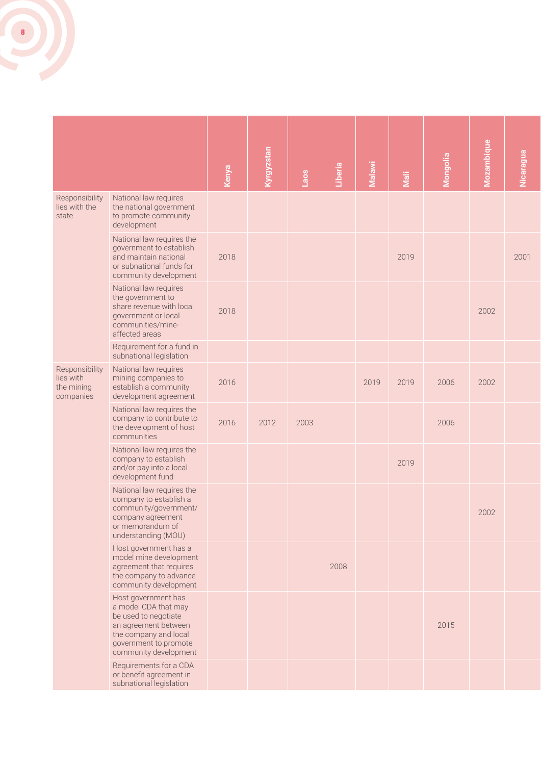

|                                                        |                                                                                                                                                                        | Kenya | Kyrgyzstan | Laos | Liberia | Malawi | Mali | <b>Mongolia</b> | Mozambique | Nicaragua |
|--------------------------------------------------------|------------------------------------------------------------------------------------------------------------------------------------------------------------------------|-------|------------|------|---------|--------|------|-----------------|------------|-----------|
| Responsibility<br>lies with the<br>state               | National law requires<br>the national government<br>to promote community<br>development                                                                                |       |            |      |         |        |      |                 |            |           |
|                                                        | National law requires the<br>government to establish<br>and maintain national<br>or subnational funds for<br>community development                                     | 2018  |            |      |         |        | 2019 |                 |            | 2001      |
|                                                        | National law requires<br>the government to<br>share revenue with local<br>government or local<br>communities/mine-<br>affected areas                                   | 2018  |            |      |         |        |      |                 | 2002       |           |
|                                                        | Requirement for a fund in<br>subnational legislation                                                                                                                   |       |            |      |         |        |      |                 |            |           |
| Responsibility<br>lies with<br>the mining<br>companies | National law requires<br>mining companies to<br>establish a community<br>development agreement                                                                         | 2016  |            |      |         | 2019   | 2019 | 2006            | 2002       |           |
|                                                        | National law requires the<br>company to contribute to<br>the development of host<br>communities                                                                        | 2016  | 2012       | 2003 |         |        |      | 2006            |            |           |
|                                                        | National law requires the<br>company to establish<br>and/or pay into a local<br>development fund                                                                       |       |            |      |         |        | 2019 |                 |            |           |
|                                                        | National law requires the<br>company to establish a<br>community/government/<br>company agreement<br>or memorandum of<br>understanding (MOU)                           |       |            |      |         |        |      |                 | 2002       |           |
|                                                        | Host government has a<br>model mine development<br>agreement that requires<br>the company to advance<br>community development                                          |       |            |      | 2008    |        |      |                 |            |           |
|                                                        | Host government has<br>a model CDA that may<br>be used to negotiate<br>an agreement between<br>the company and local<br>government to promote<br>community development |       |            |      |         |        |      | 2015            |            |           |
|                                                        | Requirements for a CDA<br>or benefit agreement in<br>subnational legislation                                                                                           |       |            |      |         |        |      |                 |            |           |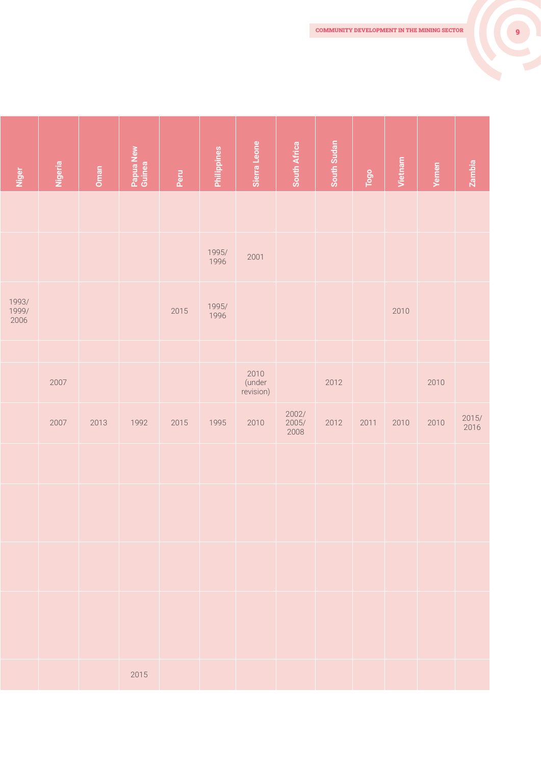| Niger                  | Nigeria | Oman | Papua New<br>Guinea | Peru | Philippines   | Sierra Leone                | South Africa           | South Sudan | Togo | Vietnam | Yemen | Zambia        |
|------------------------|---------|------|---------------------|------|---------------|-----------------------------|------------------------|-------------|------|---------|-------|---------------|
|                        |         |      |                     |      |               |                             |                        |             |      |         |       |               |
|                        |         |      |                     |      | 1995/<br>1996 | 2001                        |                        |             |      |         |       |               |
| 1993/<br>1999/<br>2006 |         |      |                     | 2015 | 1995/<br>1996 |                             |                        |             |      | 2010    |       |               |
|                        |         |      |                     |      |               |                             |                        |             |      |         |       |               |
|                        | 2007    |      |                     |      |               | 2010<br>(under<br>revision) |                        | 2012        |      |         | 2010  |               |
|                        | 2007    | 2013 | 1992                | 2015 | 1995          | 2010                        | 2002/<br>2005/<br>2008 | 2012        | 2011 | 2010    | 2010  | 2015/<br>2016 |
|                        |         |      |                     |      |               |                             |                        |             |      |         |       |               |
|                        |         |      |                     |      |               |                             |                        |             |      |         |       |               |
|                        |         |      |                     |      |               |                             |                        |             |      |         |       |               |
|                        |         |      |                     |      |               |                             |                        |             |      |         |       |               |
|                        |         |      | 2015                |      |               |                             |                        |             |      |         |       |               |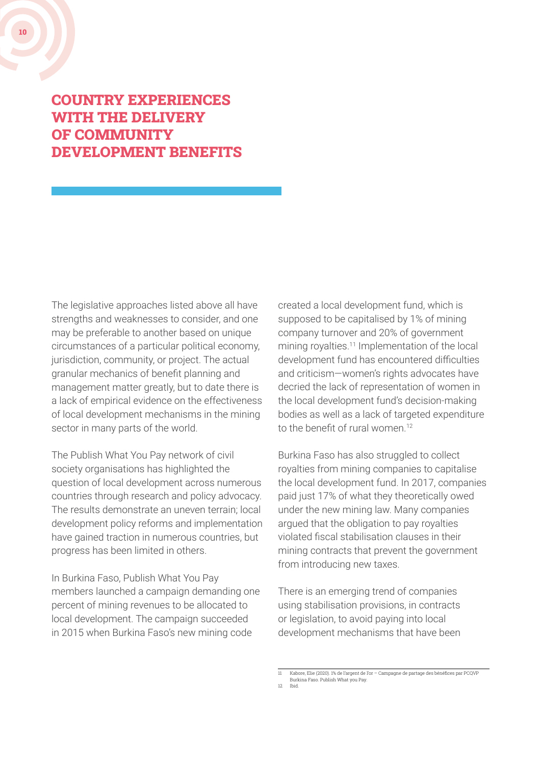#### COUNTRY EXPERIENCES WITH THE DELIVERY OF COMMUNITY DEVELOPMENT BENEFITS

The legislative approaches listed above all have strengths and weaknesses to consider, and one may be preferable to another based on unique circumstances of a particular political economy, jurisdiction, community, or project. The actual granular mechanics of benefit planning and management matter greatly, but to date there is a lack of empirical evidence on the effectiveness of local development mechanisms in the mining sector in many parts of the world.

The Publish What You Pay network of civil society organisations has highlighted the question of local development across numerous countries through research and policy advocacy. The results demonstrate an uneven terrain; local development policy reforms and implementation have gained traction in numerous countries, but progress has been limited in others.

In Burkina Faso, Publish What You Pay members launched a campaign demanding one percent of mining revenues to be allocated to local development. The campaign succeeded in 2015 when Burkina Faso's new mining code

created a local development fund, which is supposed to be capitalised by 1% of mining company turnover and 20% of government mining royalties.<sup>11</sup> Implementation of the local development fund has encountered difficulties and criticism—women's rights advocates have decried the lack of representation of women in the local development fund's decision-making bodies as well as a lack of targeted expenditure to the benefit of rural women.<sup>12</sup>

Burkina Faso has also struggled to collect royalties from mining companies to capitalise the local development fund. In 2017, companies paid just 17% of what they theoretically owed under the new mining law. Many companies argued that the obligation to pay royalties violated fiscal stabilisation clauses in their mining contracts that prevent the government from introducing new taxes.

There is an emerging trend of companies using stabilisation provisions, in contracts or legislation, to avoid paying into local development mechanisms that have been

Kabore, Elie (2020). 1% de l'argent de l'or – Campagne de partage des bénéfices par PCQVP Burkina Faso. Publish What you Pay.

<sup>12</sup> Ibid.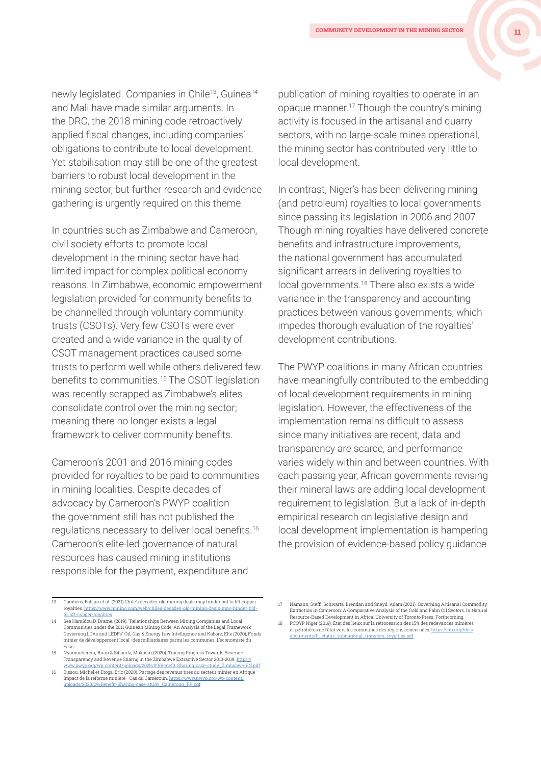newly legislated. Companies in Chile<sup>13</sup>, Guinea<sup>14</sup> and Mali have made similar arguments. In the DRC, the 2018 mining code retroactively applied fiscal changes, including companies' obligations to contribute to local development. Yet stabilisation may still be one of the greatest barriers to robust local development in the mining sector, but further research and evidence gathering is urgently required on this theme.

In countries such as Zimbabwe and Cameroon, civil society efforts to promote local development in the mining sector have had limited impact for complex political economy reasons. In Zimbabwe, economic empowerment legislation provided for community benefits to be channelled through voluntary community trusts (CSOTs). Very few CSOTs were ever created and a wide variance in the quality of CSOT management practices caused some trusts to perform well while others delivered few benefits to communities.15 The CSOT legislation was recently scrapped as Zimbabwe's elites consolidate control over the mining sector; meaning there no longer exists a legal framework to deliver community benefits.

Cameroon's 2001 and 2016 mining codes provided for royalties to be paid to communities in mining localities. Despite decades of advocacy by Cameroon's PWYP coalition the government still has not published the regulations necessary to deliver local benefits.16 Cameroon's elite-led governance of natural resources has caused mining institutions responsible for the payment, expenditure and

16 Bissou, Michel et Etoga, Eric (2020). Partage des revenus tirés du secteur minier en Afrique— Impact de la reforme minière—Cas du Cameroun. [https://www.pwyp.org/wp-content/](https://www.pwyp.org/wp-content/uploads/2020/09/Benefit-Sharing-case-study_Cameroun_FR.pdf) [uploads/2020/09/Benefit-Sharing-case-study\\_Cameroun\\_FR.pd](https://www.pwyp.org/wp-content/uploads/2020/09/Benefit-Sharing-case-study_Cameroun_FR.pdf)f

publication of mining royalties to operate in an opaque manner.17 Though the country's mining activity is focused in the artisanal and quarry sectors, with no large-scale mines operational, the mining sector has contributed very little to local development.

In contrast, Niger's has been delivering mining (and petroleum) royalties to local governments since passing its legislation in 2006 and 2007. Though mining royalties have delivered concrete benefits and infrastructure improvements, the national government has accumulated significant arrears in delivering royalties to local governments.18 There also exists a wide variance in the transparency and accounting practices between various governments, which impedes thorough evaluation of the royalties' development contributions.

The PWYP coalitions in many African countries have meaningfully contributed to the embedding of local development requirements in mining legislation. However, the effectiveness of the implementation remains difficult to assess since many initiatives are recent, data and transparency are scarce, and performance varies widely within and between countries. With each passing year, African governments revising their mineral laws are adding local development requirement to legislation. But a lack of in-depth empirical research on legislative design and local development implementation is hampering the provision of evidence-based policy guidance

<sup>13</sup> Cambero, Fabian et al. (2021) Chile's decades-old mining deals may hinder bid to lift copper royalties. [https://www.mining.com/web/chiles-decades-old-mining-deals-may-hinder-bid-](https://www.mining.com/web/chiles-decades-old-mining-deals-may-hinder-bid-to-lift-copper-royalties)

[to-lift-copper-royalties](https://www.mining.com/web/chiles-decades-old-mining-deals-may-hinder-bid-to-lift-copper-royalties) 14 See Hamidou D. Drame, (2019), "Relationships Between Mining Companies and Local Communities under the 2011 Guinean Mining Code: An Analysis of the Legal Framework Governing LDAs and LEDFs" Oil, Gas & Energy Law Intelligence and Kabore, Elie (2020), Fonds minier de développement local : des milliardaires parmi les communes. L'économiste du Faso.

<sup>15</sup> Nyamucherera, Brian & Sibanda, Mukasiri (2020). Tracing Progress Towards Reve Transparency and Revenue Sharng in the Zimbabwe Extractive Sector 2013-2019. [https://](https://www.pwyp.org/wp-content/uploads/2020/09/Benefit-Sharing-case-study_Zimbabwe-EN.pdf) [www.pwyp.org/wp-content/uploads/2020/09/Benefit-Sharing-case-study\\_Zimbabwe-EN.pdf](https://www.pwyp.org/wp-content/uploads/2020/09/Benefit-Sharing-case-study_Zimbabwe-EN.pdf)

<sup>17</sup> Hamann, Steffi, Schwartz, Brendan and Sneyd, Adam (2021). Governing Artisanal Commodity Extraction in Cameroon: A Comparative Analysis of the Gold and Palm Oil Sectors. In Natural Resource-Based Development in Africa. University of Toronto Press. Forthcoming.

<sup>18</sup> PCQYP Niger (2019). Etat des lieux sur la rétrocession des 15% des redevances minières et pétrolières de l'état vers les communes des régions concernées. [https://eiti.org/files/](https://eiti.org/files/documents/fr_status_subnational_transfers_royalties.pdf) [documents/fr\\_status\\_subnational\\_transfers\\_royalties.pdf](https://eiti.org/files/documents/fr_status_subnational_transfers_royalties.pdf)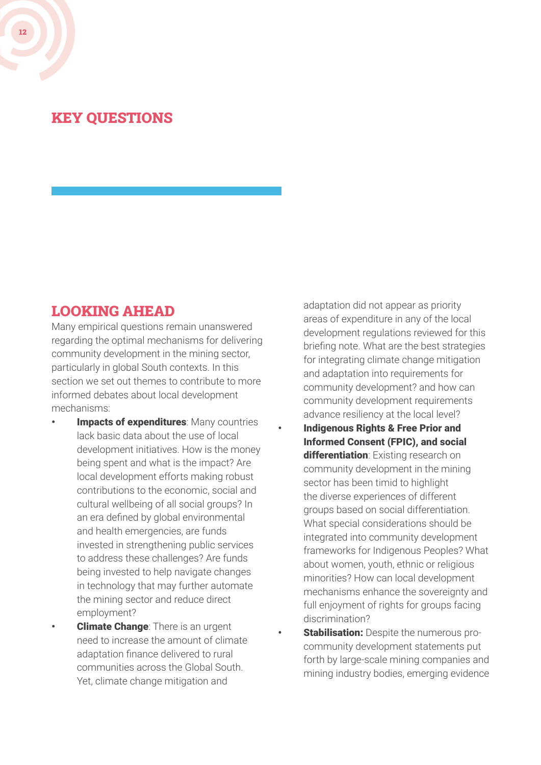## KEY QUESTIONS

#### LOOKING AHEAD

Many empirical questions remain unanswered regarding the optimal mechanisms for delivering community development in the mining sector, particularly in global South contexts. In this section we set out themes to contribute to more informed debates about local development mechanisms:

- **Impacts of expenditures: Many countries** lack basic data about the use of local development initiatives. How is the money being spent and what is the impact? Are local development efforts making robust contributions to the economic, social and cultural wellbeing of all social groups? In an era defined by global environmental and health emergencies, are funds invested in strengthening public services to address these challenges? Are funds being invested to help navigate changes in technology that may further automate the mining sector and reduce direct employment?
- **Climate Change:** There is an urgent need to increase the amount of climate adaptation finance delivered to rural communities across the Global South. Yet, climate change mitigation and

adaptation did not appear as priority areas of expenditure in any of the local development regulations reviewed for this briefing note. What are the best strategies for integrating climate change mitigation and adaptation into requirements for community development? and how can community development requirements advance resiliency at the local level?

- Indigenous Rights & Free Prior and Informed Consent (FPIC), and social differentiation: Existing research on community development in the mining sector has been timid to highlight the diverse experiences of different groups based on social differentiation. What special considerations should be integrated into community development frameworks for Indigenous Peoples? What about women, youth, ethnic or religious minorities? How can local development mechanisms enhance the sovereignty and full enjoyment of rights for groups facing discrimination?
- **Stabilisation:** Despite the numerous procommunity development statements put forth by large-scale mining companies and mining industry bodies, emerging evidence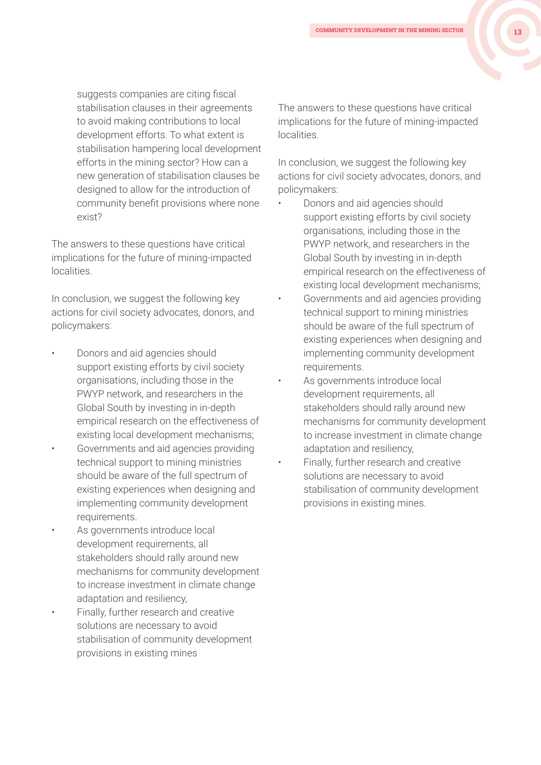suggests companies are citing fiscal stabilisation clauses in their agreements to avoid making contributions to local development efforts. To what extent is stabilisation hampering local development efforts in the mining sector? How can a new generation of stabilisation clauses be designed to allow for the introduction of community benefit provisions where none exist?

The answers to these questions have critical implications for the future of mining-impacted localities.

In conclusion, we suggest the following key actions for civil society advocates, donors, and policymakers:

- Donors and aid agencies should support existing efforts by civil society organisations, including those in the PWYP network, and researchers in the Global South by investing in in-depth empirical research on the effectiveness of existing local development mechanisms;
- Governments and aid agencies providing technical support to mining ministries should be aware of the full spectrum of existing experiences when designing and implementing community development requirements.
- As governments introduce local development requirements, all stakeholders should rally around new mechanisms for community development to increase investment in climate change adaptation and resiliency,
- Finally, further research and creative solutions are necessary to avoid stabilisation of community development provisions in existing mines

The answers to these questions have critical implications for the future of mining-impacted localities.

In conclusion, we suggest the following key actions for civil society advocates, donors, and policymakers:

- Donors and aid agencies should support existing efforts by civil society organisations, including those in the PWYP network, and researchers in the Global South by investing in in-depth empirical research on the effectiveness of existing local development mechanisms;
- Governments and aid agencies providing technical support to mining ministries should be aware of the full spectrum of existing experiences when designing and implementing community development requirements.
- As governments introduce local development requirements, all stakeholders should rally around new mechanisms for community development to increase investment in climate change adaptation and resiliency,
- Finally, further research and creative solutions are necessary to avoid stabilisation of community development provisions in existing mines.